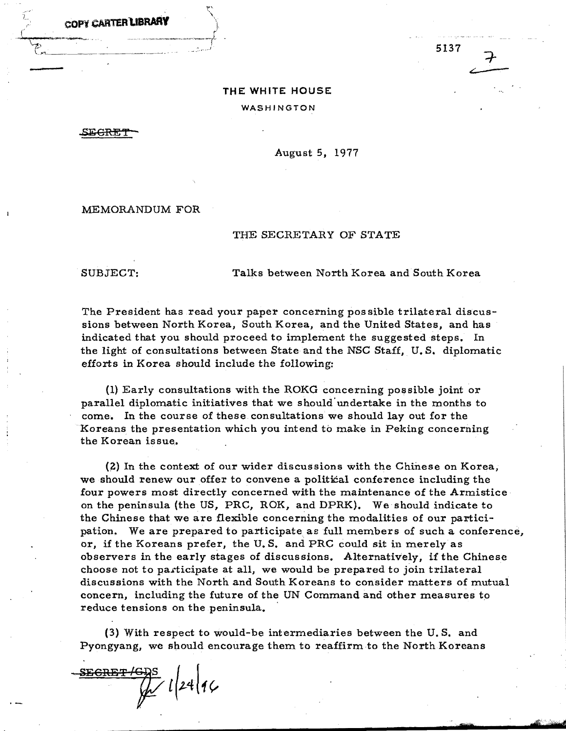COPY CARTER**l.IBRARY** 

**THE WHITE HOUSE**  WASHINGTON

,sECRET

August 5. 1977

MEMORANDUM FOR

## THE SECRETARY OF STATE

SUBJECT: Talks between North Korea and South Korea

5137

. **zr2:** 

The President has read your paper concerning pos sible trilateral discussions between North Korea, South Korea, and the United States, and has indicated that you should proceed to implement the suggested steps. In the light of consultations between State and the NSC Staff, U. S. diplomatic efforts in Korea should include the following:

(1) Early consultations with the ROKG concerning possible joint or parallel diplomatic initiatives that we should'undertake in the months to come. In the course of these consultations we should layout for the .Koreans the presentation which you intend to make in Peking concerning the Korean issue.•

(2) In the context of our wider discussions with the Chinese on Korea, we should renew our offer to convene a political conference including the four powers most directly concerned with the maintenance of the Armistice· on the peninsula (the US, PRC, ROK, and DPRK). We should indicate to the Chinese that we are flexible concerning the modalities of our participation. We are prepared to participate as full members of such a conference, or, if the Koreans prefer, the U. S. and PRC could sit in merely as observers in the early stages of discussions. Alternatively, if the Chinese choose not to participate at all, we would be prepared to join trilateral discussions with the North and South Koreans to consider matters of mutual concern, including the future of the UN Command and other measures to reduce tensions on the peninsula.

(3) With respect to would-be intermediaries between the U. S. and Pyongyang, we should encourage them to reaffirm to the North Koreans

(3) With respect to we<br>Pyongyang, we should enc<br>SECRET/GDS<br> $\mathcal{W}$   $l\left(24\right)$